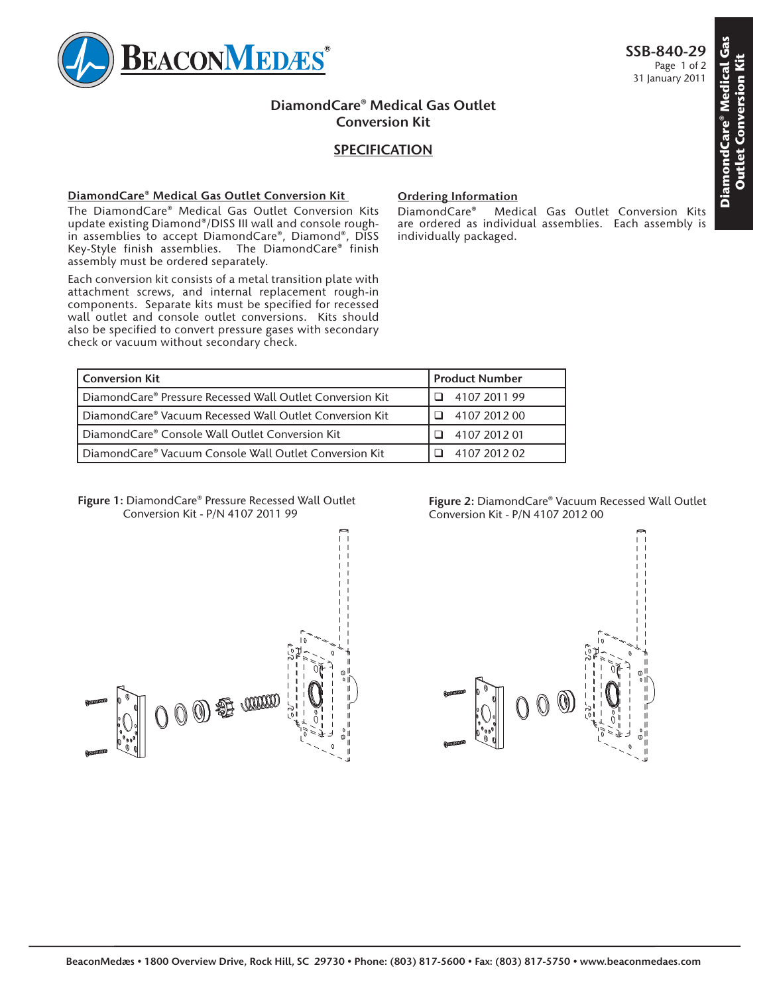

# **DiamondCare® Medical Gas Outlet Conversion Kit**

## **SPECIFICATION**

### **DiamondCare® Medical Gas Outlet Conversion Kit**

The DiamondCare® Medical Gas Outlet Conversion Kits update existing Diamond®/DISS III wall and console roughin assemblies to accept DiamondCare®, Diamond®, DISS Key-Style finish assemblies. The DiamondCare® finish assembly must be ordered separately.

Each conversion kit consists of a metal transition plate with attachment screws, and internal replacement rough-in components. Separate kits must be specified for recessed wall outlet and console outlet conversions. Kits should also be specified to convert pressure gases with secondary check or vacuum without secondary check.

### **Ordering Information**

DiamondCare® Medical Gas Outlet Conversion Kits are ordered as individual assemblies. Each assembly is individually packaged.

| <b>Conversion Kit</b>                                     | <b>Product Number</b> |
|-----------------------------------------------------------|-----------------------|
| DiamondCare® Pressure Recessed Wall Outlet Conversion Kit | 4107 2011 99          |
| DiamondCare® Vacuum Recessed Wall Outlet Conversion Kit   | 4107 2012 00          |
| DiamondCare® Console Wall Outlet Conversion Kit           | 4107 2012 01          |
| DiamondCare® Vacuum Console Wall Outlet Conversion Kit    | 4107 2012 02          |

#### **Figure 1:** DiamondCare® Pressure Recessed Wall Outlet Conversion Kit - P/N 4107 2011 99



**Figure 2:** DiamondCare® Vacuum Recessed Wall Outlet Conversion Kit - P/N 4107 2012 00